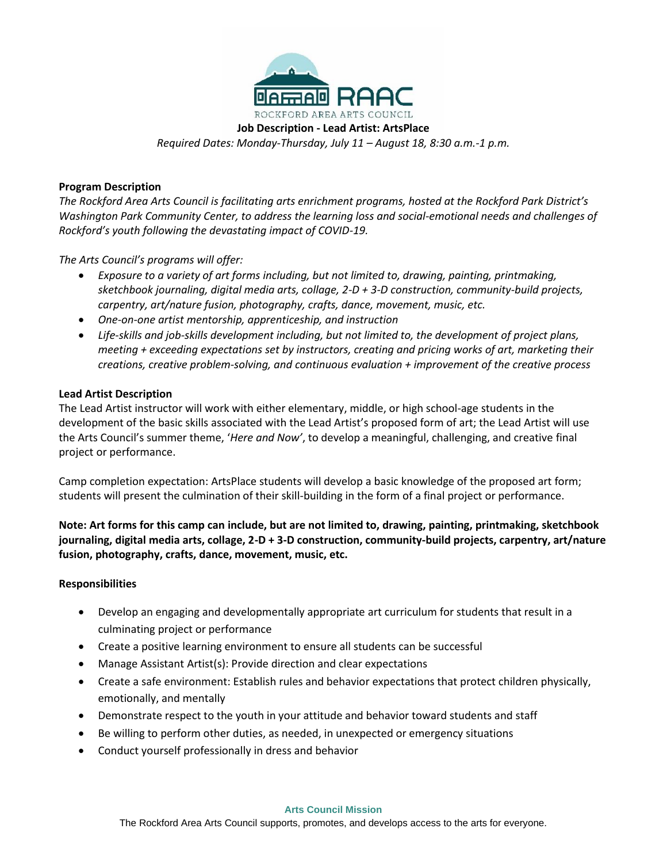

**Job Description - Lead Artist: ArtsPlace** *Required Dates: Monday-Thursday, July 11 – August 18, 8:30 a.m.-1 p.m.*

### **Program Description**

*The Rockford Area Arts Council is facilitating arts enrichment programs, hosted at the Rockford Park District's Washington Park Community Center, to address the learning loss and social-emotional needs and challenges of Rockford's youth following the devastating impact of COVID-19.*

*The Arts Council's programs will offer:*

- *Exposure to a variety of art forms including, but not limited to, drawing, painting, printmaking, sketchbook journaling, digital media arts, collage, 2-D + 3-D construction, community-build projects, carpentry, art/nature fusion, photography, crafts, dance, movement, music, etc.*
- *One-on-one artist mentorship, apprenticeship, and instruction*
- *Life-skills and job-skills development including, but not limited to, the development of project plans, meeting + exceeding expectations set by instructors, creating and pricing works of art, marketing their creations, creative problem-solving, and continuous evaluation + improvement of the creative process*

#### **Lead Artist Description**

The Lead Artist instructor will work with either elementary, middle, or high school-age students in the development of the basic skills associated with the Lead Artist's proposed form of art; the Lead Artist will use the Arts Council's summer theme, '*Here and Now'*, to develop a meaningful, challenging, and creative final project or performance.

Camp completion expectation: ArtsPlace students will develop a basic knowledge of the proposed art form; students will present the culmination of their skill-building in the form of a final project or performance.

**Note: Art forms for this camp can include, but are not limited to, drawing, painting, printmaking, sketchbook journaling, digital media arts, collage, 2-D + 3-D construction, community-build projects, carpentry, art/nature fusion, photography, crafts, dance, movement, music, etc.**

#### **Responsibilities**

- Develop an engaging and developmentally appropriate art curriculum for students that result in a culminating project or performance
- Create a positive learning environment to ensure all students can be successful
- Manage Assistant Artist(s): Provide direction and clear expectations
- Create a safe environment: Establish rules and behavior expectations that protect children physically, emotionally, and mentally
- Demonstrate respect to the youth in your attitude and behavior toward students and staff
- Be willing to perform other duties, as needed, in unexpected or emergency situations
- Conduct yourself professionally in dress and behavior